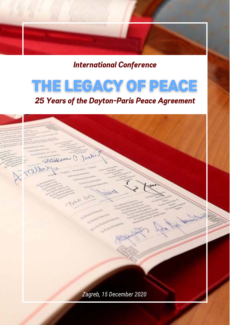International Conference

# THE LEGACY OF PEACE

## 25 Years of the Dayton-Paris Peace Agreement

statement C. Jul **TYOUA** *Zagreb, 15 December 2020*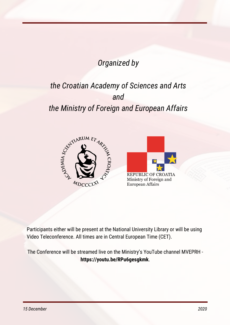# *Organized by*

# *the Croatian Academy of Sciences and Arts and the Ministry of Foreign and European Affairs*





Participants either will be present at the National University Library or will be using Video Teleconference. All times are in Central European Time (CET).

The Conference will be streamed live on the Ministry's YouTube channel MVEPRH **https://youtu.be/RPu6gesgkmk**.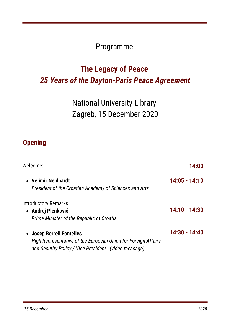## Programme

# **The Legacy of Peace** *25 Years of the Dayton-Paris Peace Agreement*

```
National University Library
Zagreb, 15 December 2020
```
### **Opening**

| Welcome:                                                      | 14:00           |
|---------------------------------------------------------------|-----------------|
| • Velimir Neidhardt                                           | 14:05 - 14:10   |
| President of the Croatian Academy of Sciences and Arts        |                 |
| <b>Introductory Remarks:</b>                                  |                 |
| • Andrej Plenković                                            | $14:10 - 14:30$ |
| Prime Minister of the Republic of Croatia                     |                 |
| • Josep Borrell Fontelles                                     | 14:30 - 14:40   |
| High Representative of the European Union for Foreign Affairs |                 |
| and Security Policy / Vice President (video message)          |                 |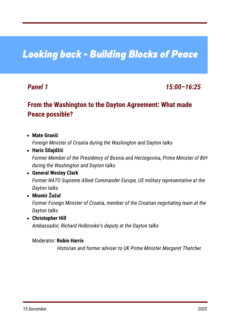# Looking back - Building Blocks of Peace

### *Panel 1 15:00–16:25*

### **From the Washington to the Dayton Agreement: What made Peace possible?**

- **Mate Granić Haris Silajdžić** *Foreign Minister of Croatia during the Washington and Dayton talks*
	- *Former Member of the Presidency of Bosnia and Herzegovina, Prime Minister of BiH during the Washington and Dayton talks*

### **General Wesley Clark** *Former NATO Supreme Allied Commander Europe, US military representative at the Dayton talks*

# **Miomir Žužul**

*Former Foreign Minister of Croatia, member of the Croatian negotiating team at the Dayton talks*

**Christopher Hill** *Ambassador, Richard Holbrooke's deputy at the Dayton talks*

### Moderator: **Robin Harris**

*Historian and former adviser to UK Prime Minister Margaret Thatcher*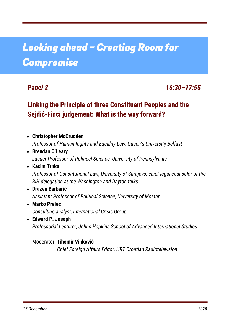# Looking ahead – Creating Room for Compromise

### *Panel 2 16:30–17:55*

### **Linking the Principle of three Constituent Peoples and the Sejdić-Finci judgement: What is the way forward?**

**Christopher McCrudden Brendan O'Leary** *Professor of Human Rights and Equality Law, Queen's University Belfast Lauder Professor of Political Science, University of Pennsylvania*

### **Kasim Trnka** *Professor of Constitutional Law, University of Sarajevo, chief legal counselor of the BiH delegation at the Washington and Dayton talks*

- **Dražen Barbarić** *Assistant Professor of Political Science, University of Mostar*
- **Marko Prelec** *Consulting analyst, International Crisis Group*
- **Edward P. Joseph** *Professorial Lecturer, Johns Hopkins School of Advanced International Studies*

### Moderator: **Tihomir Vinković** *Chief Foreign Affairs Editor, HRT Croatian Radiotelevision*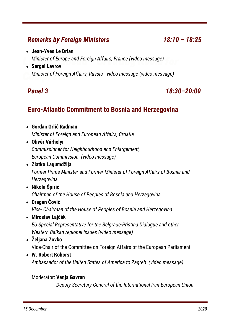### *Remarks by Foreign Ministers 18:10 – 18:25*

Looking ahead – Creating Room for *Minister of Europe and Foreign Affairs, France (video message)* **Sergei Lavrov**

 $M$ inister of Foreign Affairs, Russia - video message (video message)

**Jean-Yves Le Drian**

### *Panel 3 18:30–20:00*

### **Euro-Atlantic Commitment to Bosnia and Herzegovina**

- **Gordan Grlić Radman** *Minister of Foreign and European Affairs, Croatia*
- **Olivér Várhelyi** *Commissioner for Neighbourhood and Enlargement, European Commission (video message)*
- **Zlatko Lagumdžija** *Former Prime Minister and Former Minister of Foreign Affairs of Bosnia and Herzegovina*
- **Nikola Špirić** *Chairman of the House of Peoples of Bosnia and Herzegovina*
- **Dragan Čović** *Vice- Chairman of the House of Peoples of Bosnia and Herzegovina*
- **Miroslav Lajčák** *EU Special Representative for the Belgrade-Pristina Dialogue and other Western Balkan regional issues (video message)*
- **Željana Zovko** Vice-Chair of the Committee on Foreign Affairs of the European Parliament
- **W. Robert Kohorst** *Ambassador of the United States of America to Zagreb (video message)*

### Moderator: **Vanja Gavran**

*Deputy Secretary General of the International Pan-European Union*